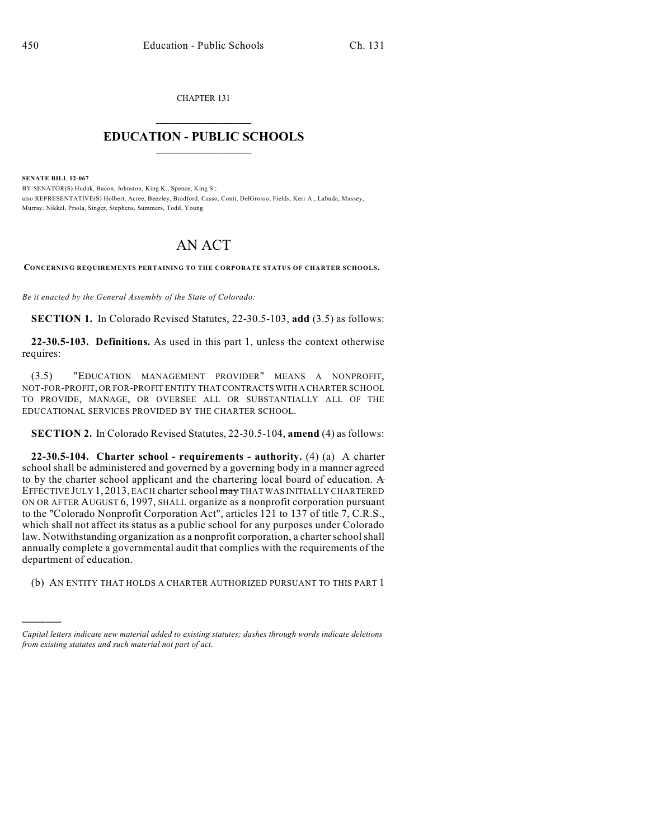CHAPTER 131

## $\overline{\phantom{a}}$  . The set of the set of the set of the set of the set of the set of the set of the set of the set of the set of the set of the set of the set of the set of the set of the set of the set of the set of the set o **EDUCATION - PUBLIC SCHOOLS**  $\_$   $\_$   $\_$   $\_$   $\_$   $\_$   $\_$   $\_$   $\_$

**SENATE BILL 12-067**

)))))

BY SENATOR(S) Hudak, Bacon, Johnston, King K., Spence, King S.; also REPRESENTATIVE(S) Holbert, Acree, Beezley, Bradford, Casso, Conti, DelGrosso, Fields, Kerr A., Labuda, Massey, Murray, Nikkel, Priola, Singer, Stephens, Summers, Todd, Young.

## AN ACT

**CONCERNING REQUIREMENTS PERTAINING TO THE CORPORATE STATUS OF CHARTER SCHOOLS.**

*Be it enacted by the General Assembly of the State of Colorado:*

**SECTION 1.** In Colorado Revised Statutes, 22-30.5-103, **add** (3.5) as follows:

**22-30.5-103. Definitions.** As used in this part 1, unless the context otherwise requires:

(3.5) "EDUCATION MANAGEMENT PROVIDER" MEANS A NONPROFIT, NOT-FOR-PROFIT, OR FOR-PROFIT ENTITY THAT CONTRACTS WITH A CHARTER SCHOOL TO PROVIDE, MANAGE, OR OVERSEE ALL OR SUBSTANTIALLY ALL OF THE EDUCATIONAL SERVICES PROVIDED BY THE CHARTER SCHOOL.

**SECTION 2.** In Colorado Revised Statutes, 22-30.5-104, **amend** (4) as follows:

**22-30.5-104. Charter school - requirements - authority.** (4) (a) A charter school shall be administered and governed by a governing body in a manner agreed to by the charter school applicant and the chartering local board of education. A EFFECTIVE JULY 1, 2013, EACH charter school may THAT WAS INITIALLY CHARTERED ON OR AFTER AUGUST 6, 1997, SHALL organize as a nonprofit corporation pursuant to the "Colorado Nonprofit Corporation Act", articles 121 to 137 of title 7, C.R.S., which shall not affect its status as a public school for any purposes under Colorado law. Notwithstanding organization as a nonprofit corporation, a charter school shall annually complete a governmental audit that complies with the requirements of the department of education.

(b) AN ENTITY THAT HOLDS A CHARTER AUTHORIZED PURSUANT TO THIS PART 1

*Capital letters indicate new material added to existing statutes; dashes through words indicate deletions from existing statutes and such material not part of act.*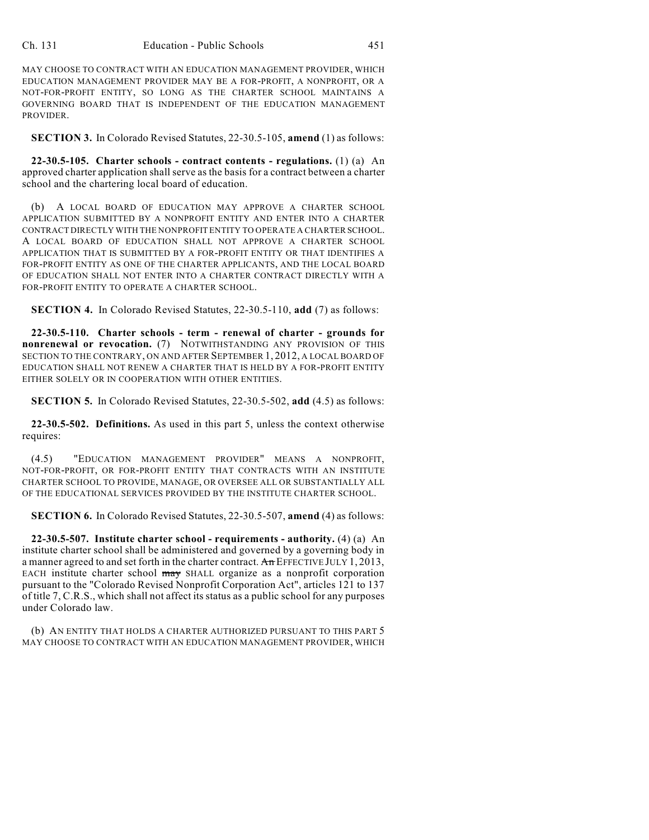MAY CHOOSE TO CONTRACT WITH AN EDUCATION MANAGEMENT PROVIDER, WHICH EDUCATION MANAGEMENT PROVIDER MAY BE A FOR-PROFIT, A NONPROFIT, OR A NOT-FOR-PROFIT ENTITY, SO LONG AS THE CHARTER SCHOOL MAINTAINS A GOVERNING BOARD THAT IS INDEPENDENT OF THE EDUCATION MANAGEMENT PROVIDER.

**SECTION 3.** In Colorado Revised Statutes, 22-30.5-105, **amend** (1) as follows:

**22-30.5-105. Charter schools - contract contents - regulations.** (1) (a) An approved charter application shallserve as the basis for a contract between a charter school and the chartering local board of education.

(b) A LOCAL BOARD OF EDUCATION MAY APPROVE A CHARTER SCHOOL APPLICATION SUBMITTED BY A NONPROFIT ENTITY AND ENTER INTO A CHARTER CONTRACT DIRECTLY WITH THE NONPROFIT ENTITY TO OPERATE A CHARTER SCHOOL. A LOCAL BOARD OF EDUCATION SHALL NOT APPROVE A CHARTER SCHOOL APPLICATION THAT IS SUBMITTED BY A FOR-PROFIT ENTITY OR THAT IDENTIFIES A FOR-PROFIT ENTITY AS ONE OF THE CHARTER APPLICANTS, AND THE LOCAL BOARD OF EDUCATION SHALL NOT ENTER INTO A CHARTER CONTRACT DIRECTLY WITH A FOR-PROFIT ENTITY TO OPERATE A CHARTER SCHOOL.

**SECTION 4.** In Colorado Revised Statutes, 22-30.5-110, **add** (7) as follows:

**22-30.5-110. Charter schools - term - renewal of charter - grounds for nonrenewal or revocation.** (7) NOTWITHSTANDING ANY PROVISION OF THIS SECTION TO THE CONTRARY, ON AND AFTER SEPTEMBER 1, 2012, A LOCAL BOARD OF EDUCATION SHALL NOT RENEW A CHARTER THAT IS HELD BY A FOR-PROFIT ENTITY EITHER SOLELY OR IN COOPERATION WITH OTHER ENTITIES.

**SECTION 5.** In Colorado Revised Statutes, 22-30.5-502, **add** (4.5) as follows:

**22-30.5-502. Definitions.** As used in this part 5, unless the context otherwise requires:

(4.5) "EDUCATION MANAGEMENT PROVIDER" MEANS A NONPROFIT, NOT-FOR-PROFIT, OR FOR-PROFIT ENTITY THAT CONTRACTS WITH AN INSTITUTE CHARTER SCHOOL TO PROVIDE, MANAGE, OR OVERSEE ALL OR SUBSTANTIALLY ALL OF THE EDUCATIONAL SERVICES PROVIDED BY THE INSTITUTE CHARTER SCHOOL.

**SECTION 6.** In Colorado Revised Statutes, 22-30.5-507, **amend** (4) as follows:

**22-30.5-507. Institute charter school - requirements - authority.** (4) (a) An institute charter school shall be administered and governed by a governing body in a manner agreed to and set forth in the charter contract. An EFFECTIVE JULY 1, 2013, EACH institute charter school may SHALL organize as a nonprofit corporation pursuant to the "Colorado Revised Nonprofit Corporation Act", articles 121 to 137 of title 7, C.R.S., which shall not affect its status as a public school for any purposes under Colorado law.

(b) AN ENTITY THAT HOLDS A CHARTER AUTHORIZED PURSUANT TO THIS PART 5 MAY CHOOSE TO CONTRACT WITH AN EDUCATION MANAGEMENT PROVIDER, WHICH